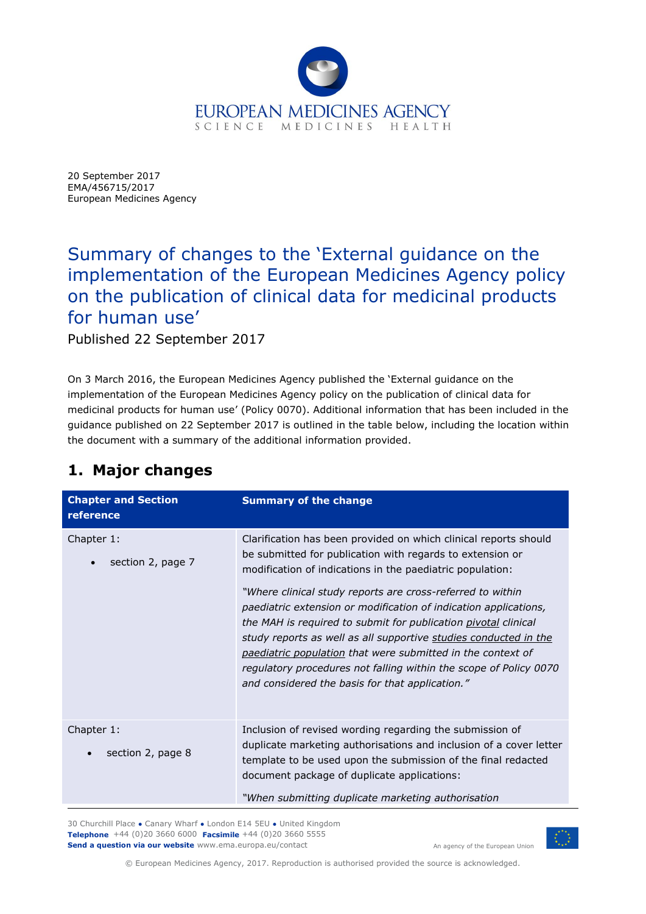

20 September 2017 EMA/456715/2017 European Medicines Agency

## Summary of changes to the 'External guidance on the implementation of the European Medicines Agency policy on the publication of clinical data for medicinal products for human use'

Published 22 September 2017

On 3 March 2016, the European Medicines Agency published the 'External guidance on the implementation of the European Medicines Agency policy on the publication of clinical data for medicinal products for human use' (Policy 0070). Additional information that has been included in the guidance published on 22 September 2017 is outlined in the table below, including the location within the document with a summary of the additional information provided.

## **1. Major changes**

| <b>Chapter and Section</b><br>reference      | <b>Summary of the change</b>                                                                                                                                                                                                                                                                                                                                                                                                                                                                                                                                                                                                                              |
|----------------------------------------------|-----------------------------------------------------------------------------------------------------------------------------------------------------------------------------------------------------------------------------------------------------------------------------------------------------------------------------------------------------------------------------------------------------------------------------------------------------------------------------------------------------------------------------------------------------------------------------------------------------------------------------------------------------------|
| Chapter 1:<br>section 2, page 7<br>$\bullet$ | Clarification has been provided on which clinical reports should<br>be submitted for publication with regards to extension or<br>modification of indications in the paediatric population:<br>"Where clinical study reports are cross-referred to within<br>paediatric extension or modification of indication applications,<br>the MAH is required to submit for publication pivotal clinical<br>study reports as well as all supportive studies conducted in the<br>paediatric population that were submitted in the context of<br>regulatory procedures not falling within the scope of Policy 0070<br>and considered the basis for that application." |
| Chapter 1:<br>section 2, page 8              | Inclusion of revised wording regarding the submission of<br>duplicate marketing authorisations and inclusion of a cover letter<br>template to be used upon the submission of the final redacted<br>document package of duplicate applications:<br>"When submitting duplicate marketing authorisation                                                                                                                                                                                                                                                                                                                                                      |

30 Churchill Place **●** Canary Wharf **●** London E14 5EU **●** United Kingdom **Telephone** +44 (0)20 3660 6000 **Facsimile** +44 (0)20 3660 5555 **Send a question via our website** www.ema.europa.eu/contact



An agency of the European Union

© European Medicines Agency, 2017. Reproduction is authorised provided the source is acknowledged.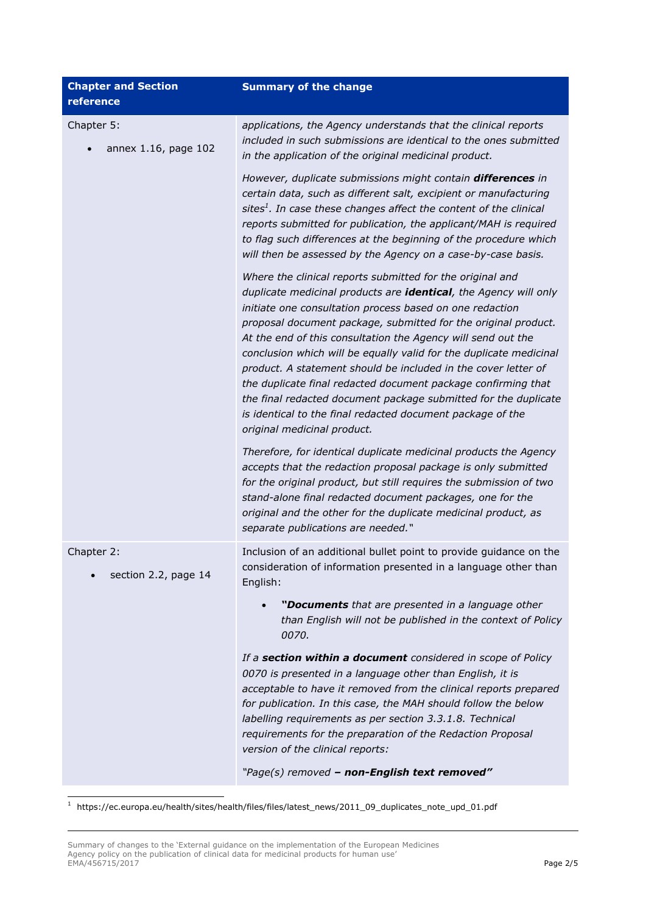| <b>Chapter and Section</b><br>reference | <b>Summary of the change</b>                                                                                                                                                                                                                                                                                                                                                                                                                                                                                                                                                                                                                                                                         |
|-----------------------------------------|------------------------------------------------------------------------------------------------------------------------------------------------------------------------------------------------------------------------------------------------------------------------------------------------------------------------------------------------------------------------------------------------------------------------------------------------------------------------------------------------------------------------------------------------------------------------------------------------------------------------------------------------------------------------------------------------------|
| Chapter 5:<br>annex 1.16, page 102      | applications, the Agency understands that the clinical reports<br>included in such submissions are identical to the ones submitted<br>in the application of the original medicinal product.                                                                                                                                                                                                                                                                                                                                                                                                                                                                                                          |
|                                         | However, duplicate submissions might contain differences in<br>certain data, such as different salt, excipient or manufacturing<br>sites <sup>1</sup> . In case these changes affect the content of the clinical<br>reports submitted for publication, the applicant/MAH is required<br>to flag such differences at the beginning of the procedure which<br>will then be assessed by the Agency on a case-by-case basis.                                                                                                                                                                                                                                                                             |
|                                         | Where the clinical reports submitted for the original and<br>duplicate medicinal products are identical, the Agency will only<br>initiate one consultation process based on one redaction<br>proposal document package, submitted for the original product.<br>At the end of this consultation the Agency will send out the<br>conclusion which will be equally valid for the duplicate medicinal<br>product. A statement should be included in the cover letter of<br>the duplicate final redacted document package confirming that<br>the final redacted document package submitted for the duplicate<br>is identical to the final redacted document package of the<br>original medicinal product. |
|                                         | Therefore, for identical duplicate medicinal products the Agency<br>accepts that the redaction proposal package is only submitted<br>for the original product, but still requires the submission of two<br>stand-alone final redacted document packages, one for the<br>original and the other for the duplicate medicinal product, as<br>separate publications are needed."                                                                                                                                                                                                                                                                                                                         |
| Chapter 2:<br>section 2.2, page 14      | Inclusion of an additional bullet point to provide guidance on the<br>consideration of information presented in a language other than<br>English:                                                                                                                                                                                                                                                                                                                                                                                                                                                                                                                                                    |
|                                         | "Documents that are presented in a language other<br>than English will not be published in the context of Policy<br>0070.                                                                                                                                                                                                                                                                                                                                                                                                                                                                                                                                                                            |
|                                         | If a section within a document considered in scope of Policy<br>0070 is presented in a language other than English, it is<br>acceptable to have it removed from the clinical reports prepared<br>for publication. In this case, the MAH should follow the below<br>labelling requirements as per section 3.3.1.8. Technical<br>requirements for the preparation of the Redaction Proposal<br>version of the clinical reports:                                                                                                                                                                                                                                                                        |
|                                         | "Page(s) removed - non-English text removed"                                                                                                                                                                                                                                                                                                                                                                                                                                                                                                                                                                                                                                                         |

 $1$  https://ec.europa.eu/health/sites/health/files/files/latest\_news/2011\_09\_duplicates\_note\_upd\_01.pdf

ł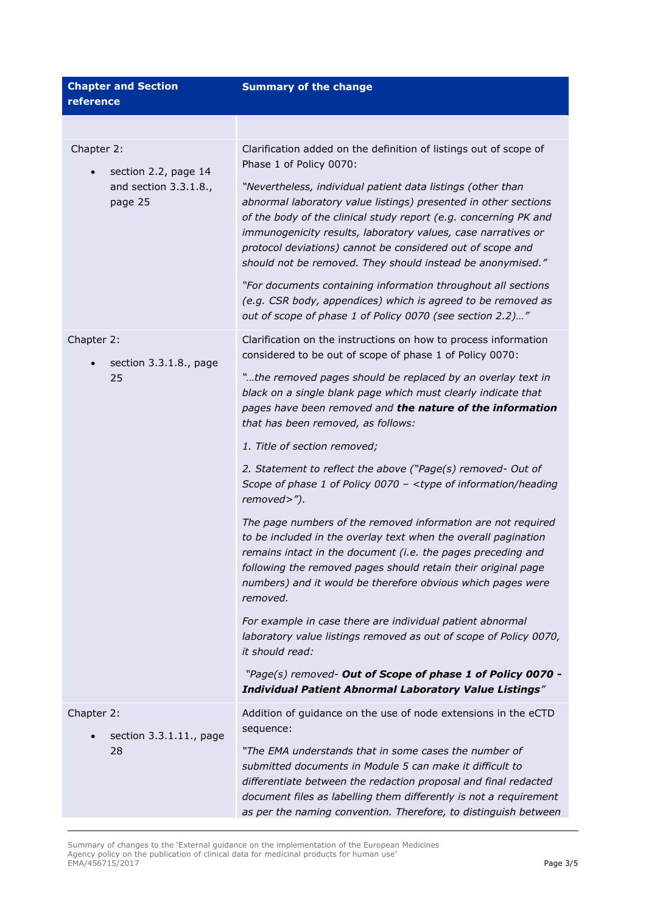| <b>Chapter and Section</b><br>reference                                | <b>Summary of the change</b>                                                                                                                                                                                                                                                                                                                                                                    |
|------------------------------------------------------------------------|-------------------------------------------------------------------------------------------------------------------------------------------------------------------------------------------------------------------------------------------------------------------------------------------------------------------------------------------------------------------------------------------------|
|                                                                        |                                                                                                                                                                                                                                                                                                                                                                                                 |
| Chapter 2:<br>section 2.2, page 14<br>and section 3.3.1.8.,<br>page 25 | Clarification added on the definition of listings out of scope of<br>Phase 1 of Policy 0070:                                                                                                                                                                                                                                                                                                    |
|                                                                        | "Nevertheless, individual patient data listings (other than<br>abnormal laboratory value listings) presented in other sections<br>of the body of the clinical study report (e.g. concerning PK and<br>immunogenicity results, laboratory values, case narratives or<br>protocol deviations) cannot be considered out of scope and<br>should not be removed. They should instead be anonymised." |
|                                                                        | "For documents containing information throughout all sections<br>(e.g. CSR body, appendices) which is agreed to be removed as<br>out of scope of phase 1 of Policy 0070 (see section 2.2)"                                                                                                                                                                                                      |
| Chapter 2:<br>section 3.3.1.8., page<br>25                             | Clarification on the instructions on how to process information<br>considered to be out of scope of phase 1 of Policy 0070:                                                                                                                                                                                                                                                                     |
|                                                                        | "the removed pages should be replaced by an overlay text in<br>black on a single blank page which must clearly indicate that<br>pages have been removed and the nature of the information<br>that has been removed, as follows:                                                                                                                                                                 |
|                                                                        | 1. Title of section removed;                                                                                                                                                                                                                                                                                                                                                                    |
|                                                                        | 2. Statement to reflect the above ("Page(s) removed- Out of<br>Scope of phase 1 of Policy 0070 - <type heading<br="" information="" of="">removed&gt;").</type>                                                                                                                                                                                                                                 |
|                                                                        | The page numbers of the removed information are not required<br>to be included in the overlay text when the overall pagination<br>remains intact in the document (i.e. the pages preceding and<br>following the removed pages should retain their original page<br>numbers) and it would be therefore obvious which pages were<br>removed.                                                      |
|                                                                        | For example in case there are individual patient abnormal<br>laboratory value listings removed as out of scope of Policy 0070,<br>it should read:                                                                                                                                                                                                                                               |
|                                                                        | "Page(s) removed- Out of Scope of phase 1 of Policy 0070 -<br><b>Individual Patient Abnormal Laboratory Value Listings"</b>                                                                                                                                                                                                                                                                     |
| Chapter 2:<br>section 3.3.1.11., page<br>28                            | Addition of guidance on the use of node extensions in the eCTD<br>sequence:                                                                                                                                                                                                                                                                                                                     |
|                                                                        | "The EMA understands that in some cases the number of<br>submitted documents in Module 5 can make it difficult to<br>differentiate between the redaction proposal and final redacted<br>document files as labelling them differently is not a requirement<br>as per the naming convention. Therefore, to distinguish between                                                                    |

Summary of changes to the 'External guidance on the implementation of the European Medicines Agency policy on the publication of clinical data for medicinal products for human use' EMA/456715/2017 Page 3/5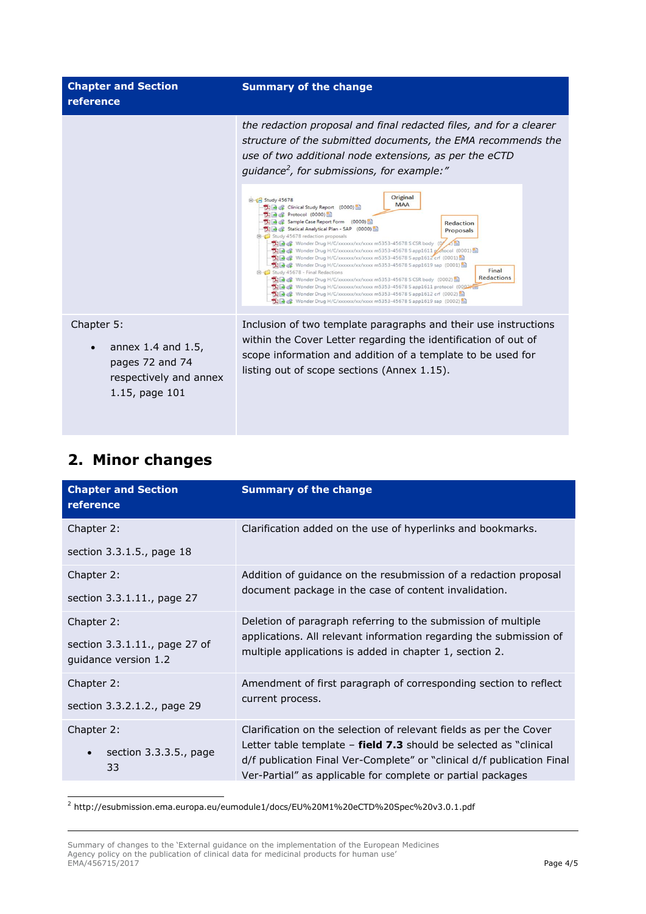| <b>Chapter and Section</b><br>reference                      | <b>Summary of the change</b>                                                                                                                                                                                                                                                                                                                                                                                                                                                                                                                                                                                                                                                                                                                                                                                                                                                                   |
|--------------------------------------------------------------|------------------------------------------------------------------------------------------------------------------------------------------------------------------------------------------------------------------------------------------------------------------------------------------------------------------------------------------------------------------------------------------------------------------------------------------------------------------------------------------------------------------------------------------------------------------------------------------------------------------------------------------------------------------------------------------------------------------------------------------------------------------------------------------------------------------------------------------------------------------------------------------------|
|                                                              | the redaction proposal and final redacted files, and for a clearer<br>structure of the submitted documents, the EMA recommends the<br>use of two additional node extensions, as per the eCTD<br>guidance <sup>2</sup> , for submissions, for example:"                                                                                                                                                                                                                                                                                                                                                                                                                                                                                                                                                                                                                                         |
|                                                              | Original<br>G Study 45678<br><b>MAA</b><br>Clinical Study Report (0000)<br>力量 & Protocol (0000)<br><b>DE of Sample Case Report Form</b> (0000)<br>Redaction<br>Statical Analytical Plan - SAP (0000)<br>Proposals<br>Study 45678 redaction proposals<br><b>TIP &amp; CSR</b> body<br>De & Wonder Drug H/C/xxxxxx/xx/xxxx m5353-45678 Sapp1611 potocol (0001)<br>Tile & Wonder Drug H/C/xxxxxx/xx/xxxx m5353-45678 Sapp1612 crf (0001)<br>Wonder Drug H/C/xxxxxx/xx/xxxx m5353-45678 Sapp1619 sap (0001)<br>Final<br>Study 45678 - Final Redactions<br><b>Redactions</b><br><b>The &amp;</b> Wonder Drug H/C/xxxxxx/xx/xxxx m5353-45678 S CSR body (0002)<br><b>Tile &amp;</b> Wonder Drug H/C/xxxxxx/xx/xxxx m5353-45678 Sapp1611 protocol (0002)<br>图 @ Wonder Drug H/C/xxxxxx/xx/xxxx m5353-45678 Sapp1612 crf (0002)<br>图 & Wonder Drug H/C/xxxxxx/xx/xxxx m5353-45678 S app1619 sap (0002) |
| Chapter 5:<br>annex 1.4 and 1.5,<br>$\overline{\phantom{a}}$ | Inclusion of two template paragraphs and their use instructions<br>within the Cover Letter regarding the identification of out of<br>scope information and addition of a template to be used for                                                                                                                                                                                                                                                                                                                                                                                                                                                                                                                                                                                                                                                                                               |

listing out of scope sections (Annex 1.15).

|  |  | 2. Minor changes |
|--|--|------------------|
|--|--|------------------|

ł

pages 72 and 74 respectively and annex

1.15, page 101

| <b>Chapter and Section</b><br>reference               | <b>Summary of the change</b>                                                                                                                                                                                 |
|-------------------------------------------------------|--------------------------------------------------------------------------------------------------------------------------------------------------------------------------------------------------------------|
| Chapter 2:                                            | Clarification added on the use of hyperlinks and bookmarks.                                                                                                                                                  |
| section 3.3.1.5., page 18                             |                                                                                                                                                                                                              |
| Chapter 2:                                            | Addition of guidance on the resubmission of a redaction proposal                                                                                                                                             |
| section 3.3.1.11., page 27                            | document package in the case of content invalidation.                                                                                                                                                        |
| Chapter 2:                                            | Deletion of paragraph referring to the submission of multiple                                                                                                                                                |
| section 3.3.1.11., page 27 of<br>guidance version 1.2 | applications. All relevant information regarding the submission of<br>multiple applications is added in chapter 1, section 2.                                                                                |
| Chapter 2:                                            | Amendment of first paragraph of corresponding section to reflect<br>current process.                                                                                                                         |
| section 3.3.2.1.2., page 29                           |                                                                                                                                                                                                              |
| Chapter 2:                                            | Clarification on the selection of relevant fields as per the Cover                                                                                                                                           |
| section $3.3.3.5.$ , page<br>33                       | Letter table template $-$ field 7.3 should be selected as "clinical<br>d/f publication Final Ver-Complete" or "clinical d/f publication Final<br>Ver-Partial" as applicable for complete or partial packages |

 $^2$  http://esubmission.ema.europa.eu/eumodule1/docs/EU%20M1%20eCTD%20Spec%20v3.0.1.pdf

Summary of changes to the 'External guidance on the implementation of the European Medicines Agency policy on the publication of clinical data for medicinal products for human use' EMA/456715/2017 Page 4/5